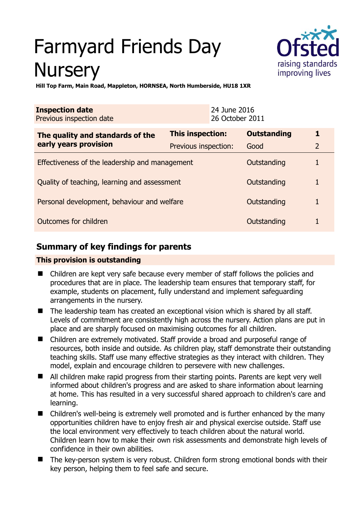# Farmyard Friends Day **Nursery**



**Hill Top Farm, Main Road, Mappleton, HORNSEA, North Humberside, HU18 1XR** 

| <b>Inspection date</b><br>Previous inspection date        |                      | 24 June 2016<br>26 October 2011 |                    |                |
|-----------------------------------------------------------|----------------------|---------------------------------|--------------------|----------------|
| The quality and standards of the<br>early years provision | This inspection:     |                                 | <b>Outstanding</b> |                |
|                                                           | Previous inspection: |                                 | Good               | $\overline{2}$ |
| Effectiveness of the leadership and management            |                      |                                 | Outstanding        |                |
| Quality of teaching, learning and assessment              |                      |                                 | Outstanding        |                |
| Personal development, behaviour and welfare               |                      |                                 | Outstanding        |                |
| Outcomes for children                                     |                      |                                 | Outstanding        |                |

## **Summary of key findings for parents**

## **This provision is outstanding**

- Children are kept very safe because every member of staff follows the policies and procedures that are in place. The leadership team ensures that temporary staff, for example, students on placement, fully understand and implement safeguarding arrangements in the nursery.
- The leadership team has created an exceptional vision which is shared by all staff. Levels of commitment are consistently high across the nursery. Action plans are put in place and are sharply focused on maximising outcomes for all children.
- Children are extremely motivated. Staff provide a broad and purposeful range of resources, both inside and outside. As children play, staff demonstrate their outstanding teaching skills. Staff use many effective strategies as they interact with children. They model, explain and encourage children to persevere with new challenges.
- All children make rapid progress from their starting points. Parents are kept very well informed about children's progress and are asked to share information about learning at home. This has resulted in a very successful shared approach to children's care and learning.
- Children's well-being is extremely well promoted and is further enhanced by the many opportunities children have to enjoy fresh air and physical exercise outside. Staff use the local environment very effectively to teach children about the natural world. Children learn how to make their own risk assessments and demonstrate high levels of confidence in their own abilities.
- The key-person system is very robust. Children form strong emotional bonds with their key person, helping them to feel safe and secure.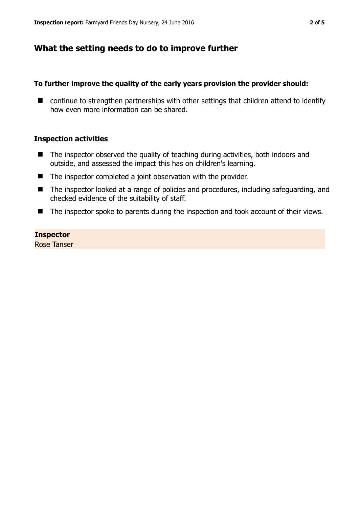## **What the setting needs to do to improve further**

## **To further improve the quality of the early years provision the provider should:**

■ continue to strengthen partnerships with other settings that children attend to identify how even more information can be shared.

#### **Inspection activities**

- The inspector observed the quality of teaching during activities, both indoors and outside, and assessed the impact this has on children's learning.
- The inspector completed a joint observation with the provider.
- The inspector looked at a range of policies and procedures, including safeguarding, and checked evidence of the suitability of staff.
- The inspector spoke to parents during the inspection and took account of their views.

#### **Inspector**

Rose Tanser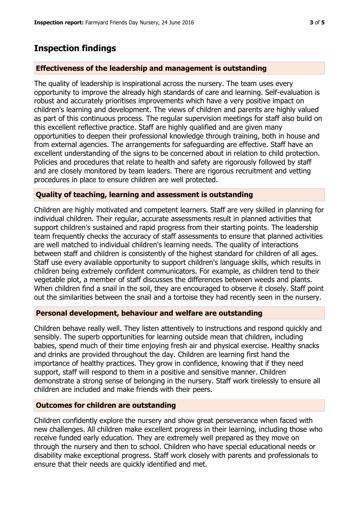## **Inspection findings**

## **Effectiveness of the leadership and management is outstanding**

The quality of leadership is inspirational across the nursery. The team uses every opportunity to improve the already high standards of care and learning. Self-evaluation is robust and accurately prioritises improvements which have a very positive impact on children's learning and development. The views of children and parents are highly valued as part of this continuous process. The regular supervision meetings for staff also build on this excellent reflective practice. Staff are highly qualified and are given many opportunities to deepen their professional knowledge through training, both in house and from external agencies. The arrangements for safeguarding are effective. Staff have an excellent understanding of the signs to be concerned about in relation to child protection. Policies and procedures that relate to health and safety are rigorously followed by staff and are closely monitored by team leaders. There are rigorous recruitment and vetting procedures in place to ensure children are well protected.

## **Quality of teaching, learning and assessment is outstanding**

Children are highly motivated and competent learners. Staff are very skilled in planning for individual children. Their regular, accurate assessments result in planned activities that support children's sustained and rapid progress from their starting points. The leadership team frequently checks the accuracy of staff assessments to ensure that planned activities are well matched to individual children's learning needs. The quality of interactions between staff and children is consistently of the highest standard for children of all ages. Staff use every available opportunity to support children's language skills, which results in children being extremely confident communicators. For example, as children tend to their vegetable plot, a member of staff discusses the differences between weeds and plants. When children find a snail in the soil, they are encouraged to observe it closely. Staff point out the similarities between the snail and a tortoise they had recently seen in the nursery.

## **Personal development, behaviour and welfare are outstanding**

Children behave really well. They listen attentively to instructions and respond quickly and sensibly. The superb opportunities for learning outside mean that children, including babies, spend much of their time enjoying fresh air and physical exercise. Healthy snacks and drinks are provided throughout the day. Children are learning first hand the importance of healthy practices. They grow in confidence, knowing that if they need support, staff will respond to them in a positive and sensitive manner. Children demonstrate a strong sense of belonging in the nursery. Staff work tirelessly to ensure all children are included and make friends with their peers.

## **Outcomes for children are outstanding**

Children confidently explore the nursery and show great perseverance when faced with new challenges. All children make excellent progress in their learning, including those who receive funded early education. They are extremely well prepared as they move on through the nursery and then to school. Children who have special educational needs or disability make exceptional progress. Staff work closely with parents and professionals to ensure that their needs are quickly identified and met.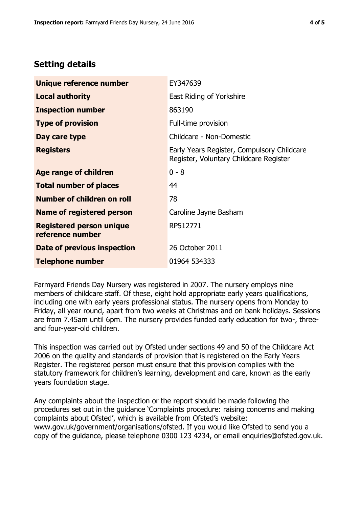## **Setting details**

| Unique reference number                             | EY347639                                                                             |  |
|-----------------------------------------------------|--------------------------------------------------------------------------------------|--|
| <b>Local authority</b>                              | East Riding of Yorkshire                                                             |  |
| <b>Inspection number</b>                            | 863190                                                                               |  |
| <b>Type of provision</b>                            | Full-time provision                                                                  |  |
| Day care type                                       | Childcare - Non-Domestic                                                             |  |
| <b>Registers</b>                                    | Early Years Register, Compulsory Childcare<br>Register, Voluntary Childcare Register |  |
| Age range of children                               | $0 - 8$                                                                              |  |
| <b>Total number of places</b>                       | 44                                                                                   |  |
| Number of children on roll                          | 78                                                                                   |  |
| Name of registered person                           | Caroline Jayne Basham                                                                |  |
| <b>Registered person unique</b><br>reference number | RP512771                                                                             |  |
| Date of previous inspection                         | 26 October 2011                                                                      |  |
| <b>Telephone number</b>                             | 01964 534333                                                                         |  |

Farmyard Friends Day Nursery was registered in 2007. The nursery employs nine members of childcare staff. Of these, eight hold appropriate early years qualifications, including one with early years professional status. The nursery opens from Monday to Friday, all year round, apart from two weeks at Christmas and on bank holidays. Sessions are from 7.45am until 6pm. The nursery provides funded early education for two-, threeand four-year-old children.

This inspection was carried out by Ofsted under sections 49 and 50 of the Childcare Act 2006 on the quality and standards of provision that is registered on the Early Years Register. The registered person must ensure that this provision complies with the statutory framework for children's learning, development and care, known as the early years foundation stage.

Any complaints about the inspection or the report should be made following the procedures set out in the guidance 'Complaints procedure: raising concerns and making complaints about Ofsted', which is available from Ofsted's website: www.gov.uk/government/organisations/ofsted. If you would like Ofsted to send you a copy of the guidance, please telephone 0300 123 4234, or email enquiries@ofsted.gov.uk.